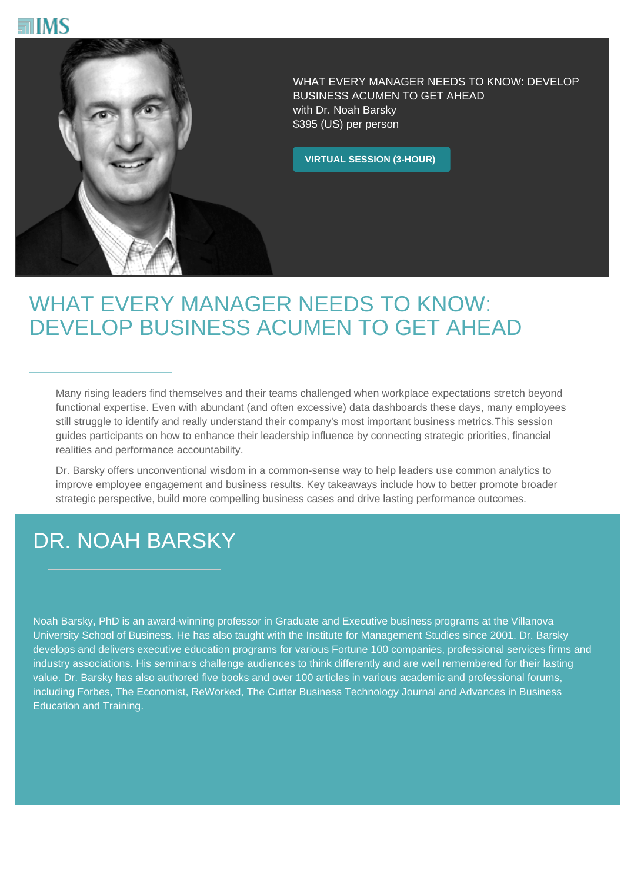



WHAT EVERY MANAGER NEEDS TO KNOW: DEVELOP BUSINESS ACUMEN TO GET AHEAD with Dr. Noah Barsky \$395 (US) per person

**VIRTUAL SESSION (3-HOUR)**

## WHAT EVERY MANAGER NEEDS TO KNOW: DEVELOP BUSINESS ACUMEN TO GET AHEAD

Many rising leaders find themselves and their teams challenged when workplace expectations stretch beyond functional expertise. Even with abundant (and often excessive) data dashboards these days, many employees still struggle to identify and really understand their company's most important business metrics.This session guides participants on how to enhance their leadership influence by connecting strategic priorities, financial realities and performance accountability.

Dr. Barsky offers unconventional wisdom in a common-sense way to help leaders use common analytics to improve employee engagement and business results. Key takeaways include how to better promote broader strategic perspective, build more compelling business cases and drive lasting performance outcomes.

## DR. NOAH BARSKY

Noah Barsky, PhD is an award-winning professor in Graduate and Executive business programs at the Villanova University School of Business. He has also taught with the Institute for Management Studies since 2001. Dr. Barsky develops and delivers executive education programs for various Fortune 100 companies, professional services firms and industry associations. His seminars challenge audiences to think differently and are well remembered for their lasting value. Dr. Barsky has also authored five books and over 100 articles in various academic and professional forums, including Forbes, The Economist, ReWorked, The Cutter Business Technology Journal and Advances in Business Education and Training.